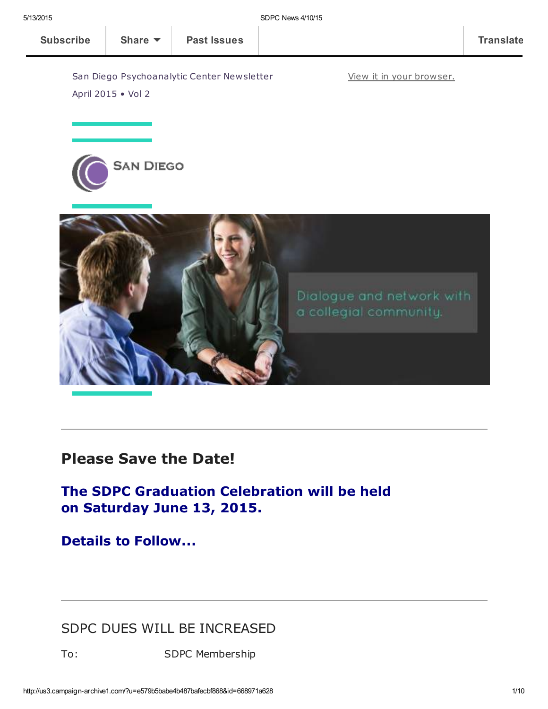View it in your [browser.](http://us3.campaign-archive1.com/?u=e579b5babe4b487bafecbf868&id=668971a628&e=[UNIQID])

San Diego Psychoanalytic Center Newsletter April 2015 • Vol 2





### Please Save the Date!

The SDPC Graduation Celebration will be held on Saturday June 13, 2015.

Details to Follow...

#### SDPC DUES WILL BE INCREASED

To: SDPC Membership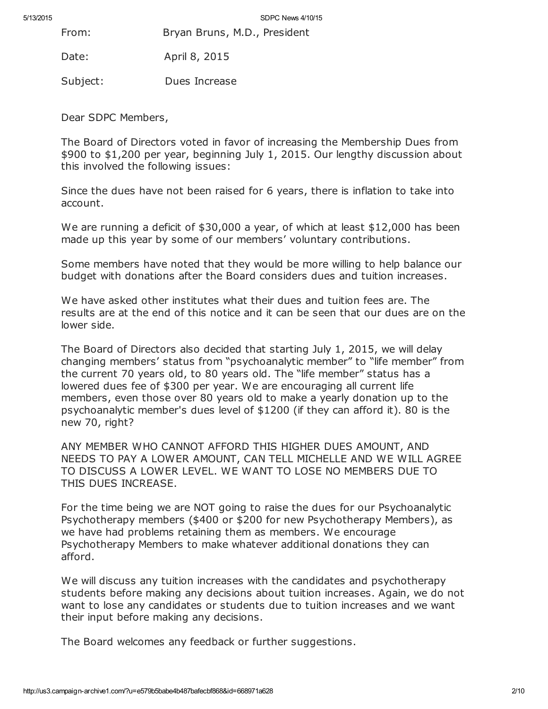From: Bryan Bruns, M.D., President

Date: April 8, 2015

Subject: Dues Increase

Dear SDPC Members,

The Board of Directors voted in favor of increasing the Membership Dues from \$900 to \$1,200 per year, beginning July 1, 2015. Our lengthy discussion about this involved the following issues:

Since the dues have not been raised for 6 years, there is inflation to take into account.

We are running a deficit of \$30,000 a year, of which at least \$12,000 has been made up this year by some of our members' voluntary contributions.

Some members have noted that they would be more willing to help balance our budget with donations after the Board considers dues and tuition increases.

We have asked other institutes what their dues and tuition fees are. The results are at the end of this notice and it can be seen that our dues are on the lower side.

The Board of Directors also decided that starting July 1, 2015, we will delay changing members' status from "psychoanalytic member" to "life member" from the current 70 years old, to 80 years old. The "life member" status has a lowered dues fee of \$300 per year. We are encouraging all current life members, even those over 80 years old to make a yearly donation up to the psychoanalytic member's dues level of \$1200 (if they can afford it). 80 is the new 70, right?

ANY MEMBER WHO CANNOT AFFORD THIS HIGHER DUES AMOUNT, AND NEEDS TO PAY A LOWER AMOUNT, CAN TELL MICHELLE AND WE WILL AGREE TO DISCUSS A LOWER LEVEL. WE WANT TO LOSE NO MEMBERS DUE TO THIS DUES INCREASE.

For the time being we are NOT going to raise the dues for our Psychoanalytic Psychotherapy members (\$400 or \$200 for new Psychotherapy Members), as we have had problems retaining them as members. We encourage Psychotherapy Members to make whatever additional donations they can afford.

We will discuss any tuition increases with the candidates and psychotherapy students before making any decisions about tuition increases. Again, we do not want to lose any candidates or students due to tuition increases and we want their input before making any decisions.

The Board welcomes any feedback or further suggestions.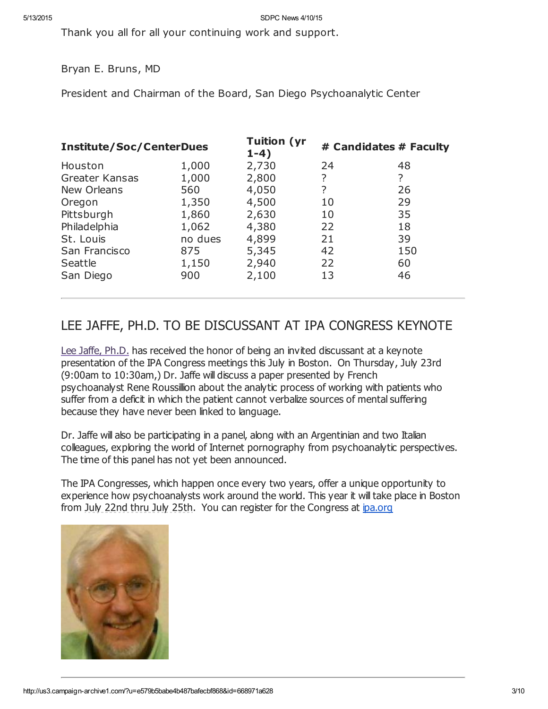Thank you all for all your continuing work and support.

Bryan E. Bruns, MD

President and Chairman of the Board, San Diego Psychoanalytic Center

| <b>Institute/Soc/CenterDues</b> |         | <b>Tuition (yr</b><br>$1-4)$ | # Candidates # Faculty |     |
|---------------------------------|---------|------------------------------|------------------------|-----|
| Houston                         | 1,000   | 2,730                        | 24                     | 48  |
| <b>Greater Kansas</b>           | 1,000   | 2,800                        | ?                      | ?   |
| New Orleans                     | 560     | 4,050                        | ?                      | 26  |
| Oregon                          | 1,350   | 4,500                        | 10                     | 29  |
| Pittsburgh                      | 1,860   | 2,630                        | 10                     | 35  |
| Philadelphia                    | 1,062   | 4,380                        | 22                     | 18  |
| St. Louis                       | no dues | 4,899                        | 21                     | 39  |
| San Francisco                   | 875     | 5,345                        | 42                     | 150 |
| Seattle                         | 1,150   | 2,940                        | 22                     | 60  |
| San Diego                       | 900     | 2,100                        | 13                     | 46  |

#### LEE JAFFE, PH.D. TO BE DISCUSSANT AT IPA CONGRESS KEYNOTE

Lee Jaffe, [Ph.D.](http://www.sdpsychoanalyticcenter.org/members/profiles/10#profile-main) has received the honor of being an invited discussant at a keynote presentation of the IPA Congress meetings this July in Boston. On Thursday, July 23rd (9:00am to 10:30am,) Dr. Jaffe will discuss a paper presented by French psychoanalyst Rene Roussillion about the analytic process of working with patients who suffer from a deficit in which the patient cannot verbalize sources of mental suffering because they have never been linked to language.

Dr. Jaffe will also be participating in a panel, along with an Argentinian and two Italian colleagues, exploring the world of Internet pornography from psychoanalytic perspectives. The time of this panel has not yet been announced.

The IPA Congresses, which happen once every two years, offer a unique opportunity to experience how psychoanalysts work around the world. This year it will take place in Boston from July 22nd thru July 25th. You can register for the Congress at *[ipa.org](http://ipa.org/)* 

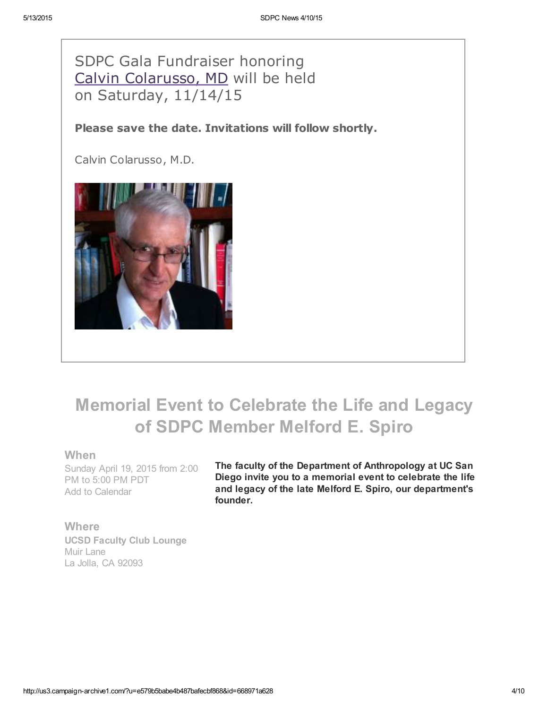SDPC Gala Fundraiser honoring Calvin [Colarusso,](http://www.sdpsychoanalyticcenter.org/members/profiles/20#profile-main) MD will be held on Saturday, 11/14/15

Please save the date. Invitations will follow shortly.

Calvin Colarusso, M.D.



## Memorial Event to Celebrate the Life and Legacy of SDPC Member Melford E. Spiro

#### When

Sunday April 19, 2015 from 2:00 PM to 5:00 PM PDT Add to [Calendar](http://r20.rs6.net/tn.jsp?f=001dVb55VlMRf3qdDUQ0KhFVYVW_cNvLIFT_DRSvGt6lU1KhGvMSp0IHBLov60ascjojLj-8QQQvyxPiXguMPF9tmC7V1l8EPfM_Q_qeCOmd02MrlYMykg90a7WmuQMshG1mJz0ASvpVm9M2-Qhb1CrHYeJjG4tktF4uXB43bvMHstC6iRXdvHeioVfJr4LVoLtliYf-eaF8QH0gHDfQFqKMpH0Um9byxiwSs7-obVC1V4_f_O9ejA6jLNaS0iGUPvXCqBi1bzpAyo=&c=RgCR7y7cAf56geZUp96p1-An1hcVzvLrwPgjUmWAQfeOVL5O8wya5w==&ch=ebM6tCJhhmeEaj4Z1_FxD-a3oAMNmI3h_oVRUu-IzY8VLCWKAj8Afw==)

The faculty of the Department of Anthropology at UC San Diego invite you to a memorial event to celebrate the life and legacy of the late Melford E. Spiro, our department's founder.

**Where** UCSD Faculty Club Lounge Muir Lane La Jolla, CA 92093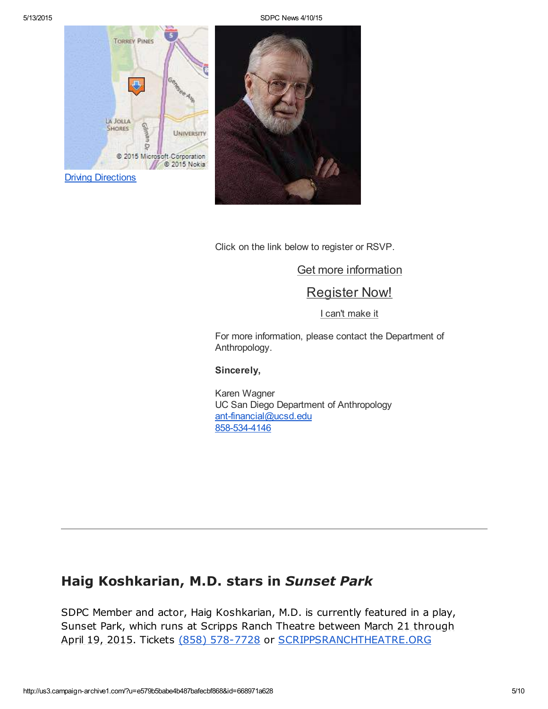5/13/2015 SDPC News 4/10/15





Click on the link below to register or RSVP.

Get more [information](http://events.r20.constantcontact.com/register/event?oeidk=a07eapqof6p4d3340aa&c=5070d010-cc2e-11e4-9897-d4ae52754dbc&ch=50b8fca0-cc2e-11e4-98c3-d4ae52754dbc) [Register](http://events.r20.constantcontact.com/register/regform?oeidk=a07eapqof6p4d3340aa&c=5070d010-cc2e-11e4-9897-d4ae52754dbc&ch=50b8fca0-cc2e-11e4-98c3-d4ae52754dbc) Now!

I can't [make](http://events.r20.constantcontact.com/register/decline?oeidk=a07eapqof6p4d3340aa&c=5070d010-cc2e-11e4-9897-d4ae52754dbc&ch=50b8fca0-cc2e-11e4-98c3-d4ae52754dbc) it

For more information, please contact the Department of Anthropology.

#### Sincerely,

Karen Wagner UC San Diego Department of Anthropology [ant-financial@ucsd.edu](mailto:ant-financial@ucsd.edu) [858-534-4146](https://events.r20.constantcontact.com/register/eventReg?oeidk=a07eapqof6p4d3340aa&oseq=&c=5070d010-cc2e-11e4-9897-d4ae52754dbc&ch=50b8fca0-cc2e-11e4-98c3-d4ae52754dbc)

### Haig Koshkarian, M.D. stars in Sunset Park

SDPC Member and actor, Haig Koshkarian, M.D. is currently featured in a play, Sunset Park, which runs at Scripps Ranch Theatre between March 21 through April 19, 2015. Tickets (858) [578-7728](tel:%28858%29%20578-7728) or [SCRIPPSRANCHTHEATRE.ORG](http://scrippsranchtheatre.org/)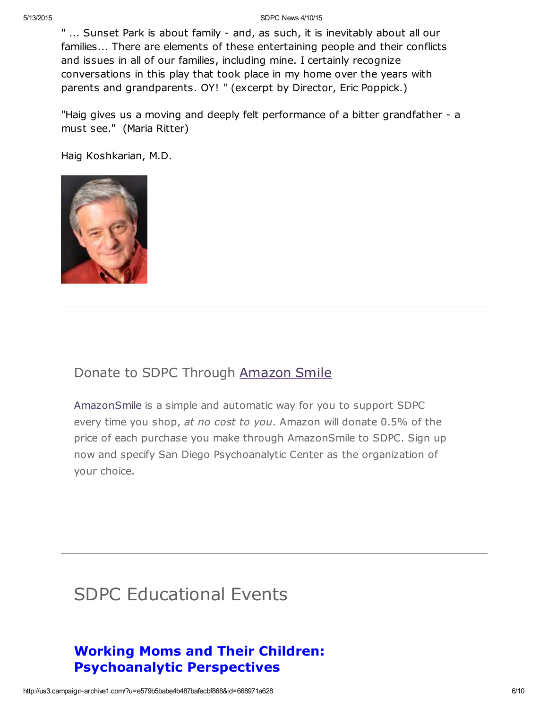#### 5/13/2015 SDPC News 4/10/15

" ... Sunset Park is about family - and, as such, it is inevitably about all our families... There are elements of these entertaining people and their conflicts and issues in all of our families, including mine. I certainly recognize conversations in this play that took place in my home over the years with parents and grandparents. OY! " (excerpt by Director, Eric Poppick.)

"Haig gives us a moving and deeply felt performance of a bitter grandfather - a must see." (Maria Ritter)

Haig Koshkarian, M.D.



### Donate to SDPC Through [Amazon](http://www.sdpsychoanalyticcenter.org/node/395#overlay-context=node/395) Smile

[AmazonSmile](http://smile.amazon.com/about) is a simple and automatic way for you to support SDPC every time you shop, at no cost to you. Amazon will donate 0.5% of the price of each purchase you make through AmazonSmile to SDPC. Sign up now and specify San Diego Psychoanalytic Center as the organization of your choice.

# SDPC Educational Events

### Working Moms and Their Children: Psychoanalytic Perspectives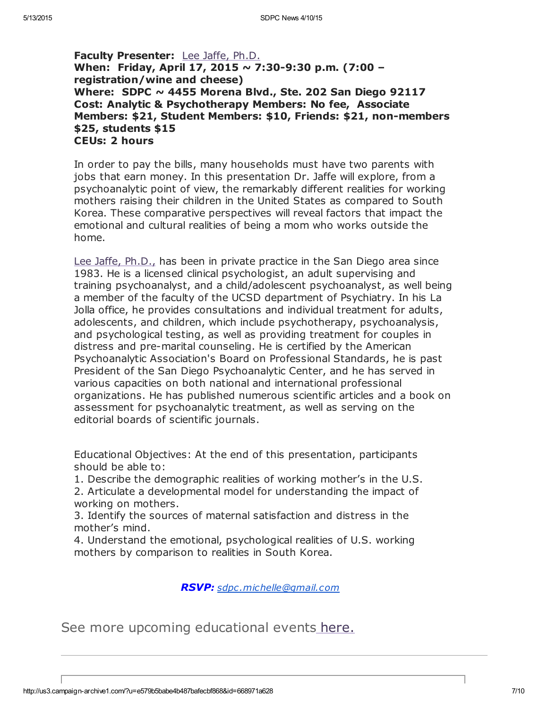Faculty Presenter: Lee Jaffe, [Ph.D.](http://www.sdpsychoanalyticcenter.org/members/profiles/10#profile-main) When: Friday, April 17, 2015 ~ 7:30-9:30 p.m. (7:00 – registration/wine and cheese) Where: SDPC  $\sim$  4455 Morena Blvd., Ste. 202 San Diego 92117 Cost: Analytic & Psychotherapy Members: No fee, Associate Members: \$21, Student Members: \$10, Friends: \$21, non-members \$25, students \$15 CEUs: 2 hours

In order to pay the bills, many households must have two parents with jobs that earn money. In this presentation Dr. Jaffe will explore, from a psychoanalytic point of view, the remarkably different realities for working mothers raising their children in the United States as compared to South Korea. These comparative perspectives will reveal factors that impact the emotional and cultural realities of being a mom who works outside the home.

Lee Jaffe, [Ph.D.,](http://www.sdpsychoanalyticcenter.org/members/profiles/10#profile-main) has been in private practice in the San Diego area since 1983. He is a licensed clinical psychologist, an adult supervising and training psychoanalyst, and a child/adolescent psychoanalyst, as well being a member of the faculty of the UCSD department of Psychiatry. In his La Jolla office, he provides consultations and individual treatment for adults, adolescents, and children, which include psychotherapy, psychoanalysis, and psychological testing, as well as providing treatment for couples in distress and pre-marital counseling. He is certified by the American Psychoanalytic Association's Board on Professional Standards, he is past President of the San Diego Psychoanalytic Center, and he has served in various capacities on both national and international professional organizations. He has published numerous scientific articles and a book on assessment for psychoanalytic treatment, as well as serving on the editorial boards of scientific journals.

Educational Objectives: At the end of this presentation, participants should be able to:

1. Describe the demographic realities of working mother's in the U.S. 2. Articulate a developmental model for understanding the impact of working on mothers.

3. Identify the sources of maternal satisfaction and distress in the mother's mind.

4. Understand the emotional, psychological realities of U.S. working mothers by comparison to realities in South Korea.

RSVP: [sdpc.michelle@gmail.com](mailto:sdpc.michelle@gmail.com)

See more upcoming educational events [here.](http://www.sdpsychoanalyticcenter.org/community-connections/upcoming-events)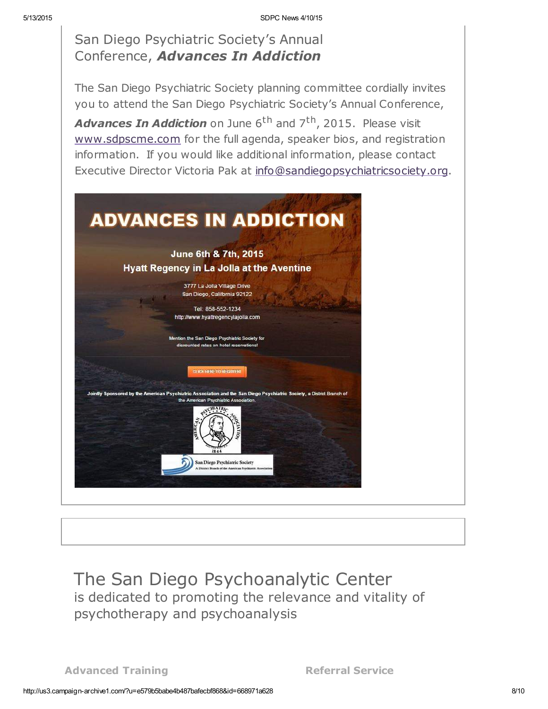San Diego Psychiatric Society's Annual Conference, Advances In Addiction

The San Diego Psychiatric Society planning committee cordially invites you to attend the San Diego Psychiatric Society's Annual Conference, Advances In Addiction on June 6<sup>th</sup> and 7<sup>th</sup>, 2015. Please visit [www.sdpscme.](http://www.sdpscme.org/)[com](http://www.sdpscme.com/) for the full agenda, speaker bios, and registration information. If you would like additional information, please contact Executive Director Victoria Pak at [info@sandiegopsychiatricsociety.org.](mailto:victoria.pak@gmail.com)



The San Diego Psychoanalytic Center is dedicated to promoting the relevance and vitality of psychotherapy and psychoanalysis

Advanced Training **Referral Service**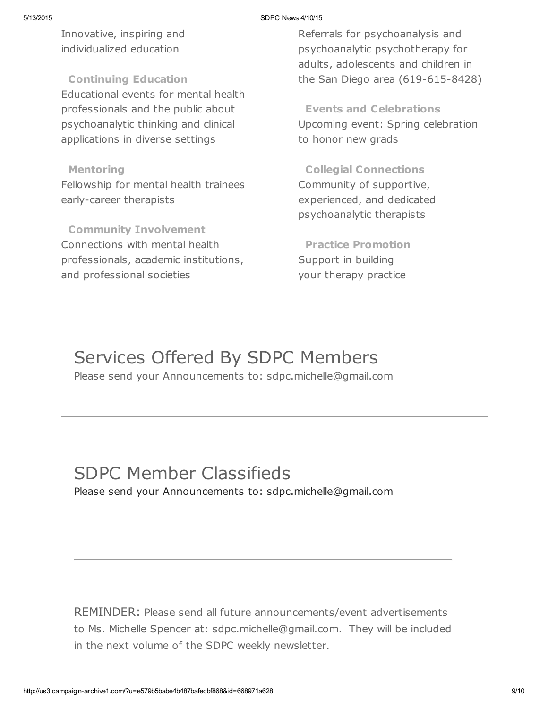#### 5/13/2015 SDPC News 4/10/15

Innovative, inspiring and individualized education

Continuing Education

Educational events for mental health professionals and the public about psychoanalytic thinking and clinical applications in diverse settings

#### Mentoring

Fellowship for mental health trainees early-career therapists

Community Involvement Connections with mental health professionals, academic institutions, and professional societies

Referrals for psychoanalysis and psychoanalytic psychotherapy for adults, adolescents and children in the San Diego area (619-615-8428)

Events and Celebrations Upcoming event: Spring celebration to honor new grads

Collegial Connections Community of supportive, experienced, and dedicated psychoanalytic therapists

Practice Promotion Support in building your therapy practice

# Services Offered By SDPC Members

Please send your Announcements to: sdpc.michelle@gmail.com

## SDPC Member Classifieds

Please send your Announcements to: sdpc.michelle@gmail.com

REMINDER: Please send all future announcements/event advertisements to Ms. Michelle Spencer at: sdpc.michelle@gmail.com. They will be included in the next volume of the SDPC weekly newsletter.